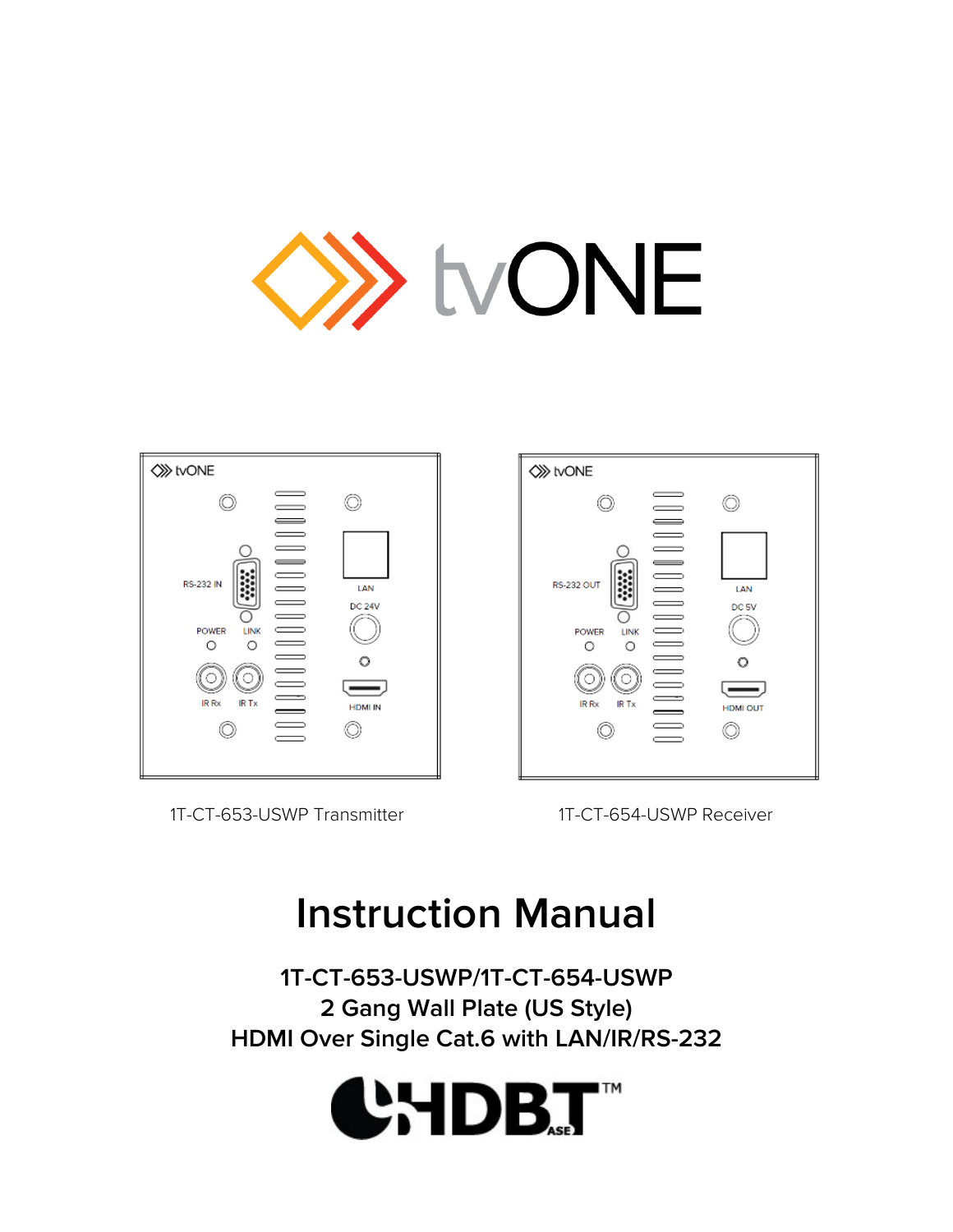

| <b>◇ tvONE</b>                                                      |                                      |
|---------------------------------------------------------------------|--------------------------------------|
| <b>RS-232 IN</b><br>LINK<br>POWER<br>Ω<br>∩<br>IR Rx<br><b>IRTx</b> | LAN<br>DC 24V<br>O<br><b>HDMI IN</b> |

1T-CT-653-USWP Transmitter 1T-CT-654-USWP Receiver



# **Instruction Manual**

**1T-CT-653-USWP/1T-CT-654-USWP 2 Gang Wall Plate (US Style) HDMI Over Single Cat.6 with LAN/IR/RS-232**

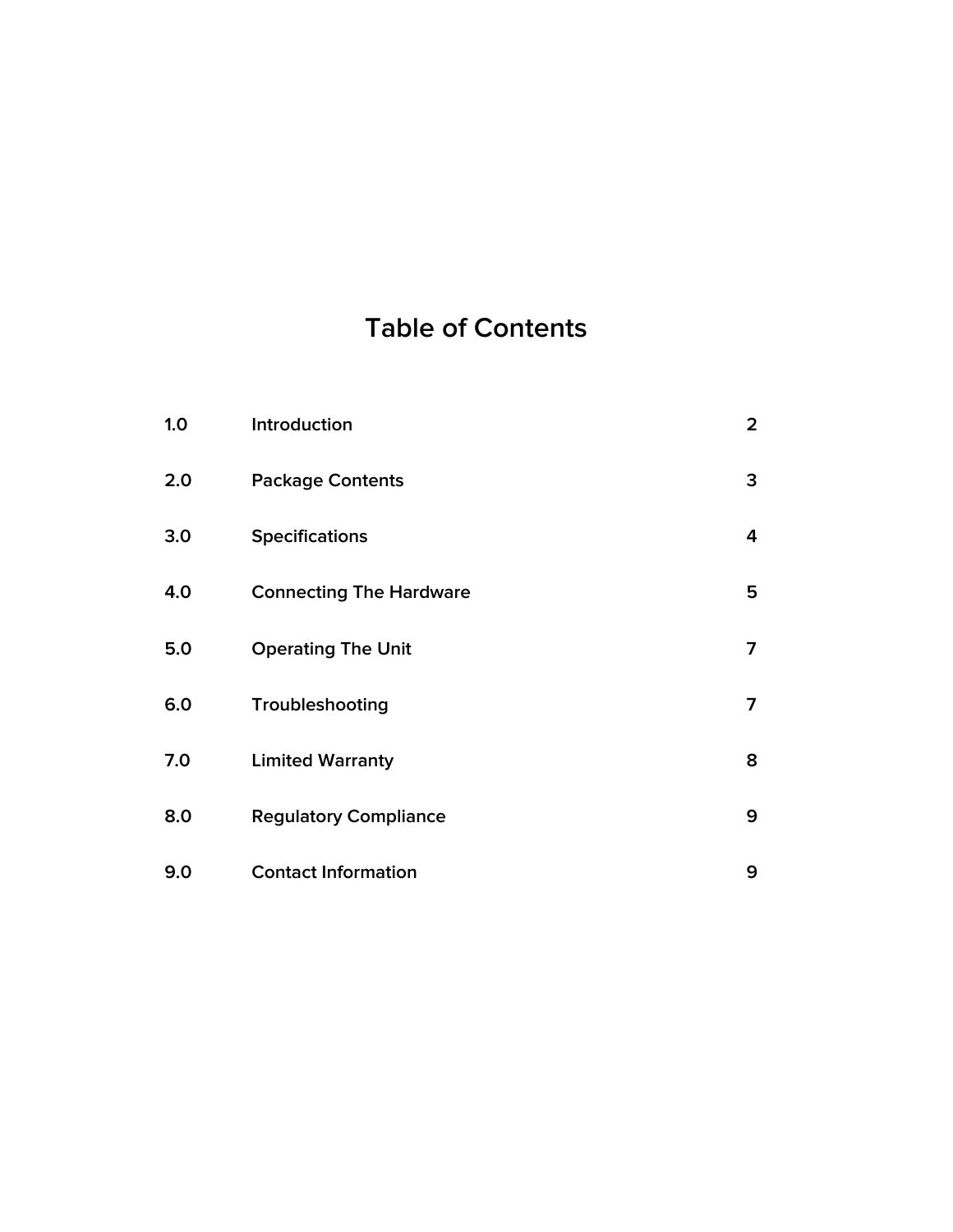# **Table of Contents**

| 1.0 | Introduction                   | $\overline{2}$ |
|-----|--------------------------------|----------------|
| 2.0 | <b>Package Contents</b>        | 3              |
| 3.0 | <b>Specifications</b>          | 4              |
| 4.0 | <b>Connecting The Hardware</b> | 5              |
| 5.0 | <b>Operating The Unit</b>      | $\overline{7}$ |
| 6.0 | Troubleshooting                | $\overline{7}$ |
| 7.0 | <b>Limited Warranty</b>        | 8              |
| 8.0 | <b>Regulatory Compliance</b>   | 9              |
| 9.0 | <b>Contact Information</b>     | 9              |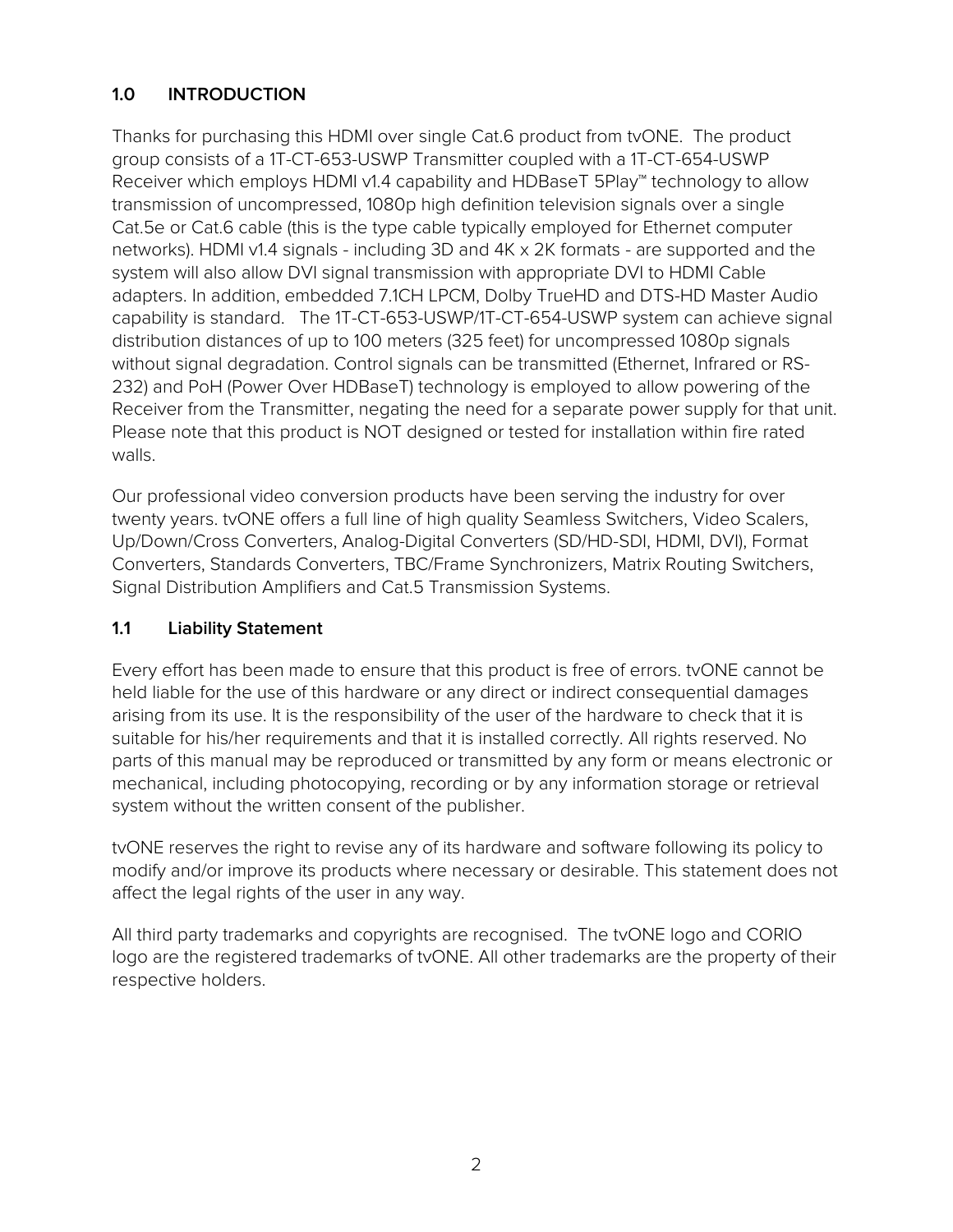# **1.0 INTRODUCTION**

Thanks for purchasing this HDMI over single Cat.6 product from tvONE. The product group consists of a 1T-CT-653-USWP Transmitter coupled with a 1T-CT-654-USWP Receiver which employs HDMI v1.4 capability and HDBaseT 5Play™ technology to allow transmission of uncompressed, 1080p high definition television signals over a single Cat.5e or Cat.6 cable (this is the type cable typically employed for Ethernet computer networks). HDMI v1.4 signals - including 3D and 4K x 2K formats - are supported and the system will also allow DVI signal transmission with appropriate DVI to HDMI Cable adapters. In addition, embedded 7.1CH LPCM, Dolby TrueHD and DTS-HD Master Audio capability is standard. The 1T-CT-653-USWP/1T-CT-654-USWP system can achieve signal distribution distances of up to 100 meters (325 feet) for uncompressed 1080p signals without signal degradation. Control signals can be transmitted (Ethernet, Infrared or RS-232) and PoH (Power Over HDBaseT) technology is employed to allow powering of the Receiver from the Transmitter, negating the need for a separate power supply for that unit. Please note that this product is NOT designed or tested for installation within fire rated walls.

Our professional video conversion products have been serving the industry for over twenty years. tvONE offers a full line of high quality Seamless Switchers, Video Scalers, Up/Down/Cross Converters, Analog-Digital Converters (SD/HD-SDI, HDMI, DVI), Format Converters, Standards Converters, TBC/Frame Synchronizers, Matrix Routing Switchers, Signal Distribution Amplifiers and Cat.5 Transmission Systems.

#### **1.1 Liability Statement**

Every effort has been made to ensure that this product is free of errors. tvONE cannot be held liable for the use of this hardware or any direct or indirect consequential damages arising from its use. It is the responsibility of the user of the hardware to check that it is suitable for his/her requirements and that it is installed correctly. All rights reserved. No parts of this manual may be reproduced or transmitted by any form or means electronic or mechanical, including photocopying, recording or by any information storage or retrieval system without the written consent of the publisher.

tvONE reserves the right to revise any of its hardware and software following its policy to modify and/or improve its products where necessary or desirable. This statement does not affect the legal rights of the user in any way.

All third party trademarks and copyrights are recognised. The tvONE logo and CORIO logo are the registered trademarks of tvONE. All other trademarks are the property of their respective holders.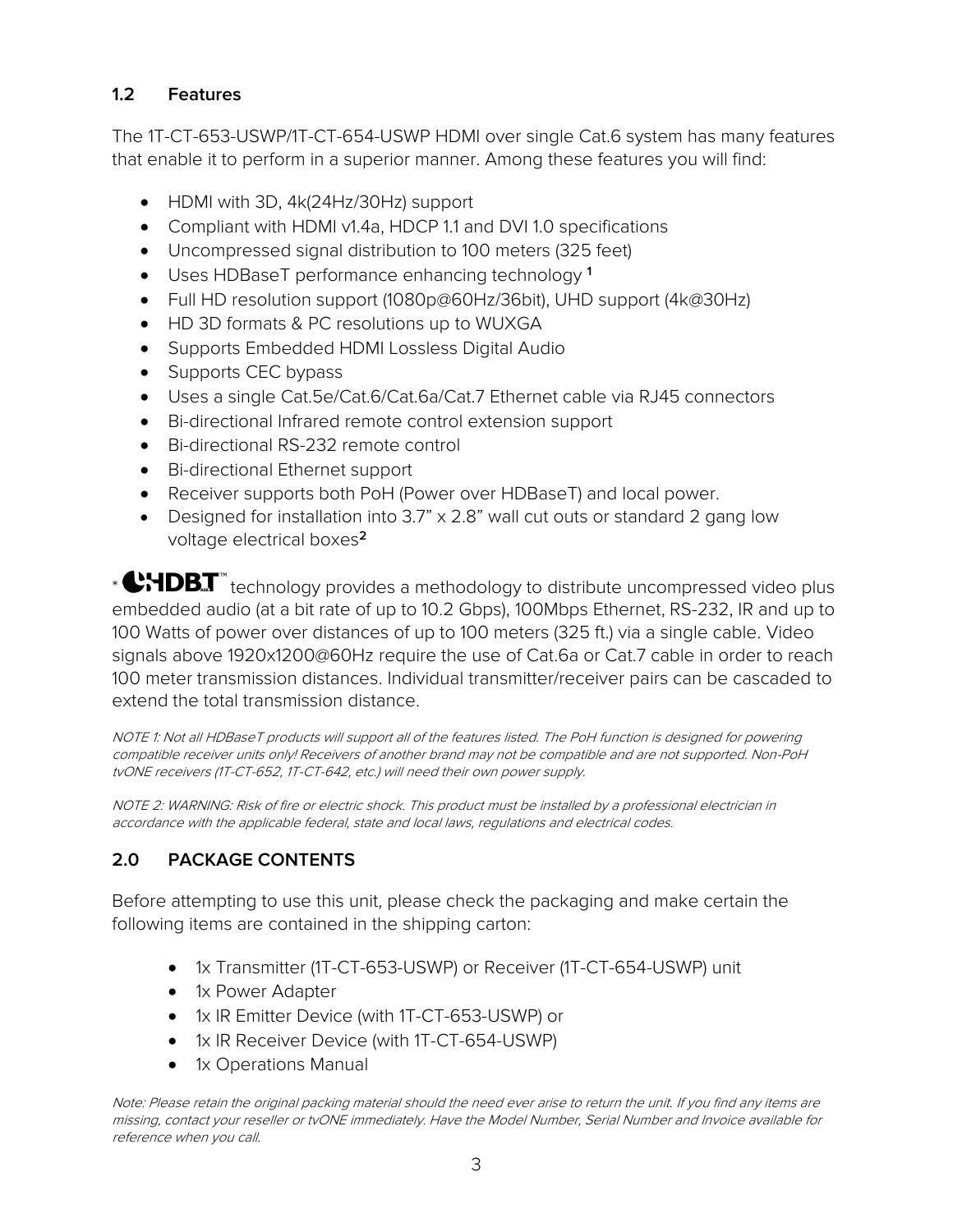## **1.2 Features**

The 1T-CT-653-USWP/1T-CT-654-USWP HDMI over single Cat.6 system has many features that enable it to perform in a superior manner. Among these features you will find:

- HDMI with 3D, 4k(24Hz/30Hz) support
- Compliant with HDMI v1.4a, HDCP 1.1 and DVI 1.0 specifications
- Uncompressed signal distribution to 100 meters (325 feet)
- Uses HDBaseT performance enhancing technology **<sup>1</sup>**
- Full HD resolution support (1080p@60Hz/36bit), UHD support (4k@30Hz)
- HD 3D formats & PC resolutions up to WUXGA
- Supports Embedded HDMI Lossless Digital Audio
- Supports CEC bypass
- Uses a single Cat.5e/Cat.6/Cat.6a/Cat.7 Ethernet cable via RJ45 connectors
- Bi-directional Infrared remote control extension support
- Bi-directional RS-232 remote control
- Bi-directional Ethernet support
- Receiver supports both PoH (Power over HDBaseT) and local power.
- Designed for installation into 3.7" x 2.8" wall cut outs or standard 2 gang low voltage electrical boxes**<sup>2</sup>**

\* CHDBT" technology provides a methodology to distribute uncompressed video plus embedded audio (at a bit rate of up to 10.2 Gbps), 100Mbps Ethernet, RS-232, IR and up to 100 Watts of power over distances of up to 100 meters (325 ft.) via a single cable. Video signals above 1920x1200@60Hz require the use of Cat.6a or Cat.7 cable in order to reach 100 meter transmission distances. Individual transmitter/receiver pairs can be cascaded to extend the total transmission distance.

NOTE 1: Not all HDBaseT products will support all of the features listed. The PoH function is designed for powering compatible receiver units only! Receivers of another brand may not be compatible and are not supported. Non-PoH tvONE receivers (1T-CT-652, 1T-CT-642, etc.) will need their own power supply.

NOTE 2: WARNING: Risk of fire or electric shock. This product must be installed by a professional electrician in accordance with the applicable federal, state and local laws, regulations and electrical codes.

# **2.0 PACKAGE CONTENTS**

Before attempting to use this unit, please check the packaging and make certain the following items are contained in the shipping carton:

- 1x Transmitter (1T-CT-653-USWP) or Receiver (1T-CT-654-USWP) unit
- 1x Power Adapter
- 1x IR Emitter Device (with 1T-CT-653-USWP) or
- 1x IR Receiver Device (with 1T-CT-654-USWP)
- 1x Operations Manual

Note: Please retain the original packing material should the need ever arise to return the unit. If you find any items are missing, contact your reseller or tvONE immediately. Have the Model Number, Serial Number and Invoice available for reference when you call.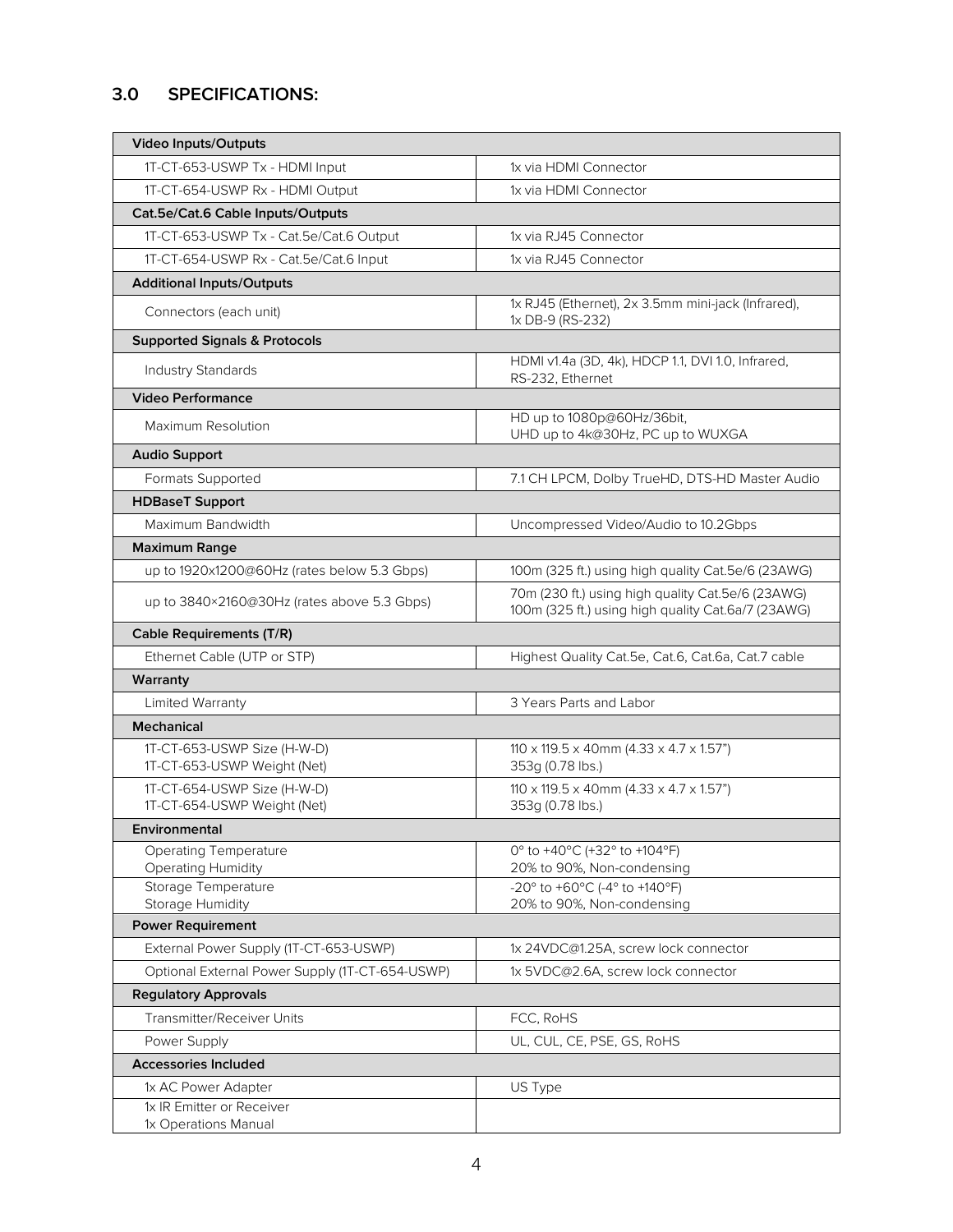# **3.0 SPECIFICATIONS:**

| <b>Video Inputs/Outputs</b>                                |                                                                                                         |  |
|------------------------------------------------------------|---------------------------------------------------------------------------------------------------------|--|
| 1T-CT-653-USWP Tx - HDMI Input                             | 1x via HDMI Connector                                                                                   |  |
| 1T-CT-654-USWP Rx - HDMI Output                            | 1x via HDMI Connector                                                                                   |  |
| Cat.5e/Cat.6 Cable Inputs/Outputs                          |                                                                                                         |  |
| 1T-CT-653-USWP Tx - Cat.5e/Cat.6 Output                    | 1x via RJ45 Connector                                                                                   |  |
| 1T-CT-654-USWP Rx - Cat.5e/Cat.6 Input                     | 1x via RJ45 Connector                                                                                   |  |
| <b>Additional Inputs/Outputs</b>                           |                                                                                                         |  |
| Connectors (each unit)                                     | 1x RJ45 (Ethernet), 2x 3.5mm mini-jack (Infrared),<br>1x DB-9 (RS-232)                                  |  |
| <b>Supported Signals &amp; Protocols</b>                   |                                                                                                         |  |
| Industry Standards                                         | HDMI v1.4a (3D, 4k), HDCP 1.1, DVI 1.0, Infrared,<br>RS-232, Ethernet                                   |  |
| <b>Video Performance</b>                                   |                                                                                                         |  |
| Maximum Resolution                                         | HD up to 1080p@60Hz/36bit,<br>UHD up to 4k@30Hz, PC up to WUXGA                                         |  |
| <b>Audio Support</b>                                       |                                                                                                         |  |
| Formats Supported                                          | 7.1 CH LPCM, Dolby TrueHD, DTS-HD Master Audio                                                          |  |
| <b>HDBaseT Support</b>                                     |                                                                                                         |  |
| Maximum Bandwidth                                          | Uncompressed Video/Audio to 10.2Gbps                                                                    |  |
| <b>Maximum Range</b>                                       |                                                                                                         |  |
| up to 1920x1200@60Hz (rates below 5.3 Gbps)                | 100m (325 ft.) using high quality Cat.5e/6 (23AWG)                                                      |  |
| up to 3840×2160@30Hz (rates above 5.3 Gbps)                | 70m (230 ft.) using high quality Cat.5e/6 (23AWG)<br>100m (325 ft.) using high quality Cat.6a/7 (23AWG) |  |
| <b>Cable Requirements (T/R)</b>                            |                                                                                                         |  |
| Ethernet Cable (UTP or STP)                                | Highest Quality Cat.5e, Cat.6, Cat.6a, Cat.7 cable                                                      |  |
| Warranty                                                   |                                                                                                         |  |
| Limited Warranty                                           | 3 Years Parts and Labor                                                                                 |  |
| <b>Mechanical</b>                                          |                                                                                                         |  |
| 1T-CT-653-USWP Size (H-W-D)<br>1T-CT-653-USWP Weight (Net) | 110 x 119.5 x 40mm (4.33 x 4.7 x 1.57")<br>353g (0.78 lbs.)                                             |  |
| 1T-CT-654-USWP Size (H-W-D)                                | $110 \times 119.5 \times 40$ mm $(4.33 \times 4.7 \times 1.57)$                                         |  |
| 1T-CT-654-USWP Weight (Net)                                | 353g (0.78 lbs.)                                                                                        |  |
| Environmental                                              |                                                                                                         |  |
| <b>Operating Temperature</b><br><b>Operating Humidity</b>  | 0° to +40°C (+32° to +104°F)<br>20% to 90%, Non-condensing                                              |  |
| Storage Temperature                                        | -20° to +60°C (-4° to +140°F)                                                                           |  |
| Storage Humidity                                           | 20% to 90%, Non-condensing                                                                              |  |
| <b>Power Requirement</b>                                   |                                                                                                         |  |
| External Power Supply (1T-CT-653-USWP)                     | 1x 24VDC@1.25A, screw lock connector                                                                    |  |
| Optional External Power Supply (1T-CT-654-USWP)            | 1x 5VDC@2.6A, screw lock connector                                                                      |  |
| <b>Regulatory Approvals</b>                                |                                                                                                         |  |
| Transmitter/Receiver Units                                 | FCC, RoHS                                                                                               |  |
| Power Supply                                               | UL, CUL, CE, PSE, GS, RoHS                                                                              |  |
| <b>Accessories Included</b>                                |                                                                                                         |  |
| 1x AC Power Adapter                                        | US Type                                                                                                 |  |
| 1x IR Emitter or Receiver<br>1x Operations Manual          |                                                                                                         |  |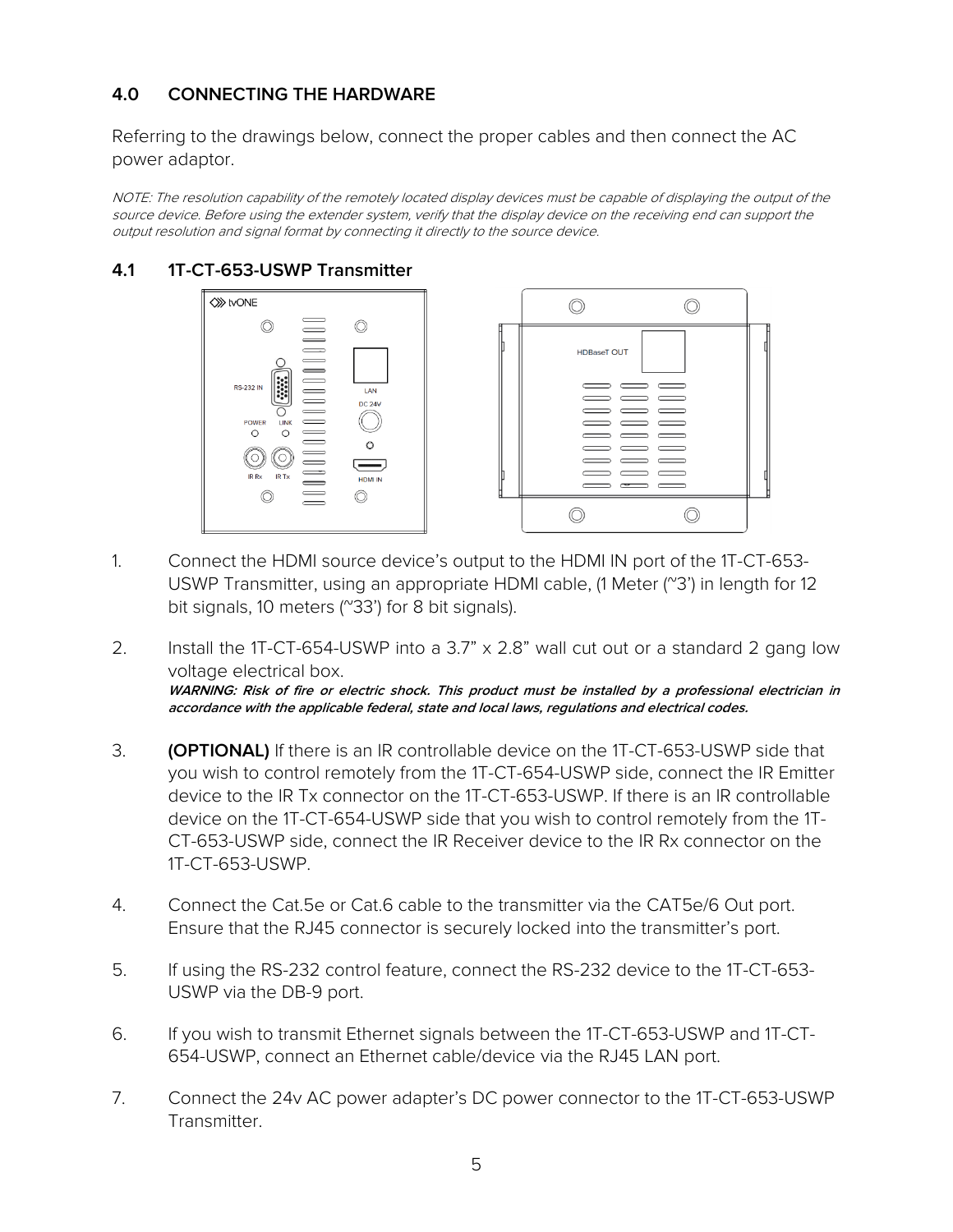## **4.0 CONNECTING THE HARDWARE**

Referring to the drawings below, connect the proper cables and then connect the AC power adaptor.

NOTE: The resolution capability of the remotely located display devices must be capable of displaying the output of the source device. Before using the extender system, verify that the display device on the receiving end can support the output resolution and signal format by connecting it directly to the source device.

#### **4.1 1T-CT-653-USWP Transmitter**





- 1. Connect the HDMI source device's output to the HDMI IN port of the 1T-CT-653- USWP Transmitter, using an appropriate HDMI cable, (1 Meter (~3') in length for 12 bit signals, 10 meters (~33') for 8 bit signals).
- 2. Install the 1T-CT-654-USWP into a 3.7" x 2.8" wall cut out or a standard 2 gang low voltage electrical box. **WARNING: Risk of fire or electric shock. This product must be installed by a professional electrician in accordance with the applicable federal, state and local laws, regulations and electrical codes.**
- 3. **(OPTIONAL)** If there is an IR controllable device on the 1T-CT-653-USWP side that you wish to control remotely from the 1T-CT-654-USWP side, connect the IR Emitter device to the IR Tx connector on the 1T-CT-653-USWP. If there is an IR controllable device on the 1T-CT-654-USWP side that you wish to control remotely from the 1T-CT-653-USWP side, connect the IR Receiver device to the IR Rx connector on the 1T-CT-653-USWP.
- 4. Connect the Cat.5e or Cat.6 cable to the transmitter via the CAT5e/6 Out port. Ensure that the RJ45 connector is securely locked into the transmitter's port.
- 5. If using the RS-232 control feature, connect the RS-232 device to the 1T-CT-653- USWP via the DB-9 port.
- 6. If you wish to transmit Ethernet signals between the 1T-CT-653-USWP and 1T-CT-654-USWP, connect an Ethernet cable/device via the RJ45 LAN port.
- 7. Connect the 24v AC power adapter's DC power connector to the 1T-CT-653-USWP Transmitter.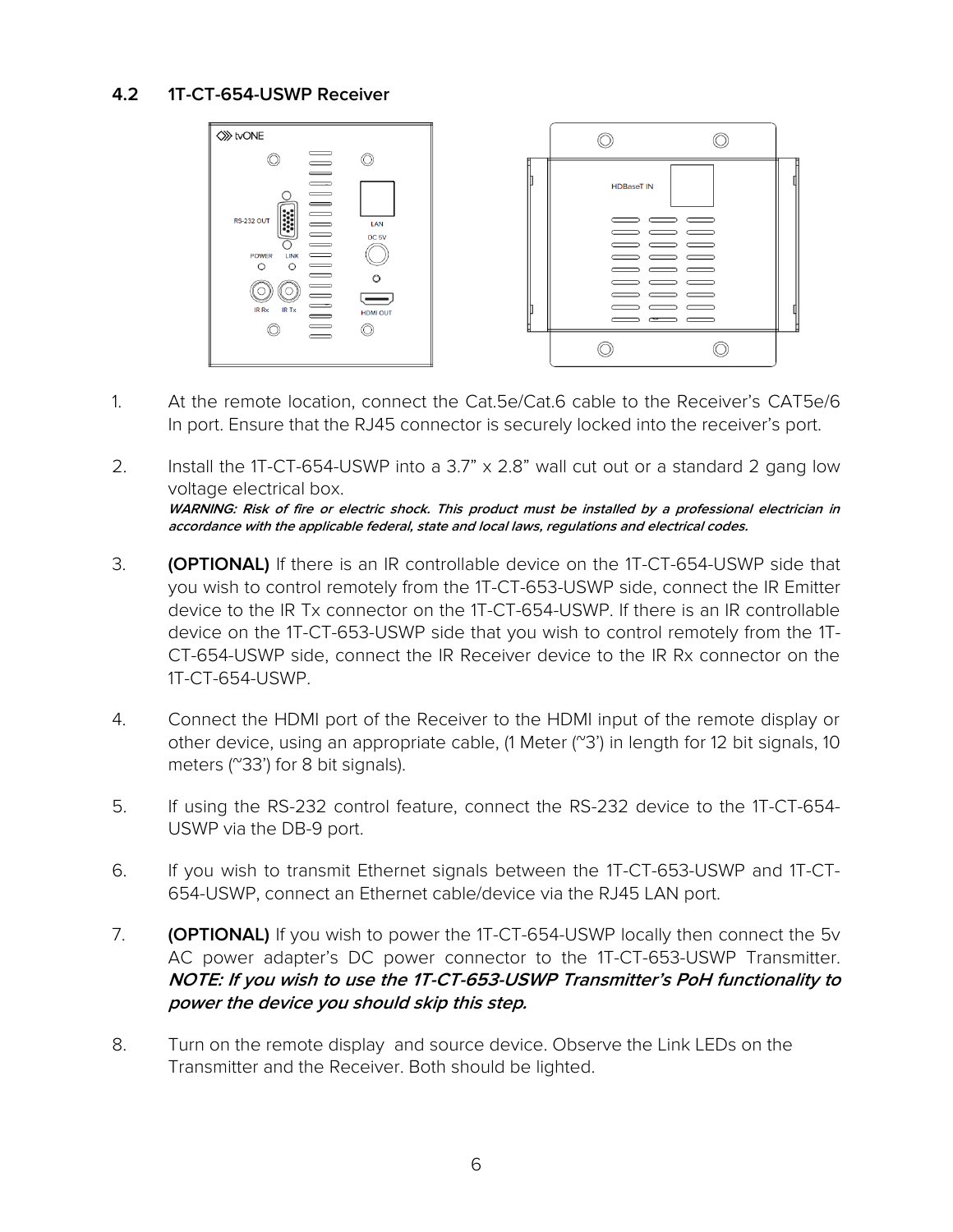#### **4.2 1T-CT-654-USWP Receiver**



- 1. At the remote location, connect the Cat.5e/Cat.6 cable to the Receiver's CAT5e/6 In port. Ensure that the RJ45 connector is securely locked into the receiver's port.
- 2. Install the 1T-CT-654-USWP into a 3.7" x 2.8" wall cut out or a standard 2 gang low voltage electrical box. **WARNING: Risk of fire or electric shock. This product must be installed by a professional electrician in accordance with the applicable federal, state and local laws, regulations and electrical codes.**
- 3. **(OPTIONAL)** If there is an IR controllable device on the 1T-CT-654-USWP side that you wish to control remotely from the 1T-CT-653-USWP side, connect the IR Emitter device to the IR Tx connector on the 1T-CT-654-USWP. If there is an IR controllable device on the 1T-CT-653-USWP side that you wish to control remotely from the 1T-CT-654-USWP side, connect the IR Receiver device to the IR Rx connector on the 1T-CT-654-USWP.
- 4. Connect the HDMI port of the Receiver to the HDMI input of the remote display or other device, using an appropriate cable,  $(1 \text{ meter } (\text{``}3)')$  in length for 12 bit signals, 10 meters (~33') for 8 bit signals).
- 5. If using the RS-232 control feature, connect the RS-232 device to the 1T-CT-654- USWP via the DB-9 port.
- 6. If you wish to transmit Ethernet signals between the 1T-CT-653-USWP and 1T-CT-654-USWP, connect an Ethernet cable/device via the RJ45 LAN port.
- 7. **(OPTIONAL)** If you wish to power the 1T-CT-654-USWP locally then connect the 5v AC power adapter's DC power connector to the 1T-CT-653-USWP Transmitter. **NOTE: If you wish to use the 1T-CT-653-USWP Transmitter's PoH functionality to power the device you should skip this step.**
- 8. Turn on the remote display and source device. Observe the Link LEDs on the Transmitter and the Receiver. Both should be lighted.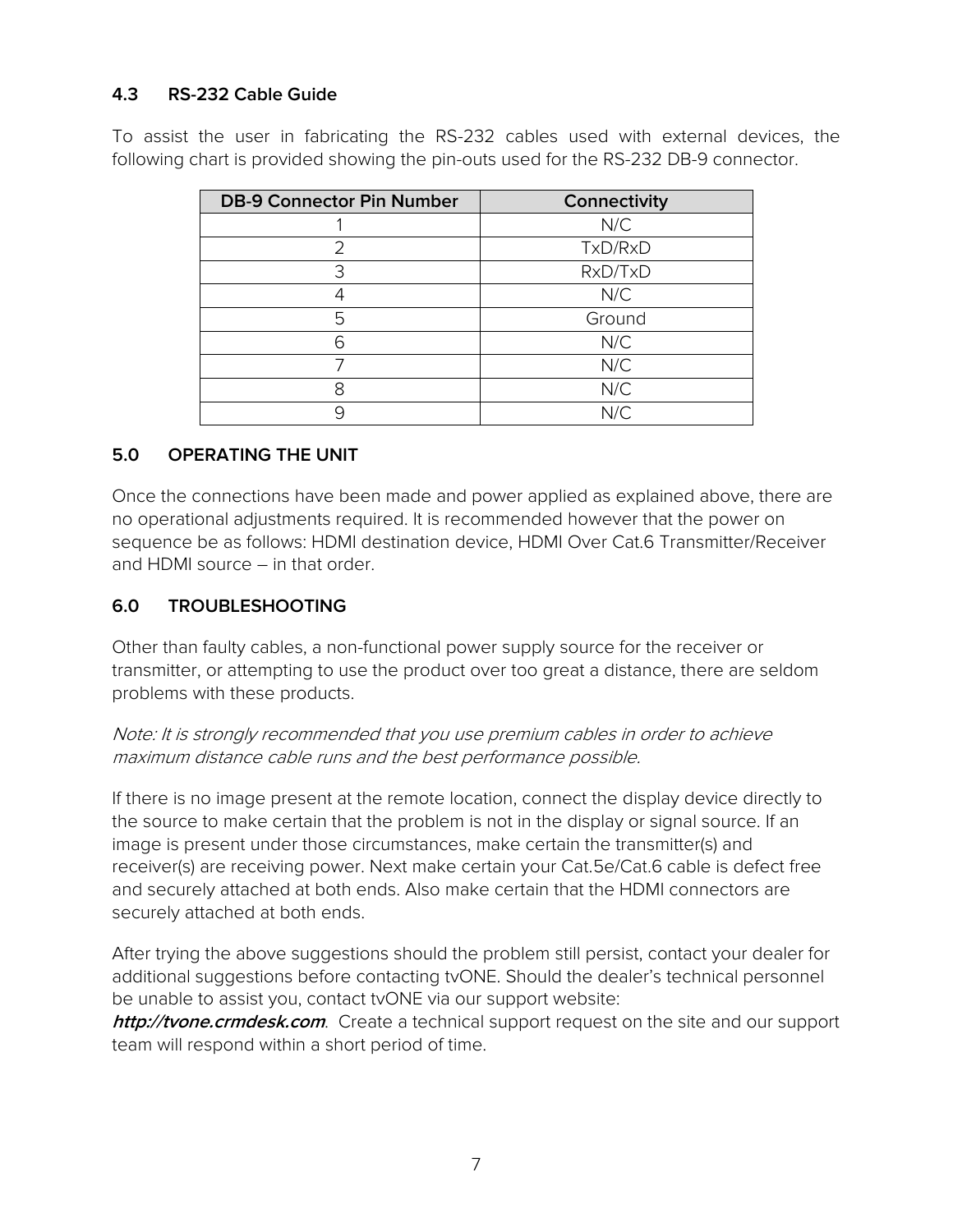#### **4.3 RS-232 Cable Guide**

To assist the user in fabricating the RS-232 cables used with external devices, the following chart is provided showing the pin-outs used for the RS-232 DB-9 connector.

| <b>DB-9 Connector Pin Number</b> | Connectivity |
|----------------------------------|--------------|
|                                  | N/C          |
| フ                                | TxD/RxD      |
| 3                                | RxD/TxD      |
|                                  | N/C          |
| 5                                | Ground       |
|                                  | N/C          |
|                                  | N/C          |
| 8                                | N/C          |
|                                  | N/C          |

#### **5.0 OPERATING THE UNIT**

Once the connections have been made and power applied as explained above, there are no operational adjustments required. It is recommended however that the power on sequence be as follows: HDMI destination device, HDMI Over Cat.6 Transmitter/Receiver and HDMI source – in that order.

#### **6.0 TROUBLESHOOTING**

Other than faulty cables, a non-functional power supply source for the receiver or transmitter, or attempting to use the product over too great a distance, there are seldom problems with these products.

#### Note: It is strongly recommended that you use premium cables in order to achieve maximum distance cable runs and the best performance possible.

If there is no image present at the remote location, connect the display device directly to the source to make certain that the problem is not in the display or signal source. If an image is present under those circumstances, make certain the transmitter(s) and receiver(s) are receiving power. Next make certain your Cat.5e/Cat.6 cable is defect free and securely attached at both ends. Also make certain that the HDMI connectors are securely attached at both ends.

After trying the above suggestions should the problem still persist, contact your dealer for additional suggestions before contacting tvONE. Should the dealer's technical personnel be unable to assist you, contact tvONE via our support website:

**http://tvone.crmdesk.com**. Create a technical support request on the site and our support team will respond within a short period of time.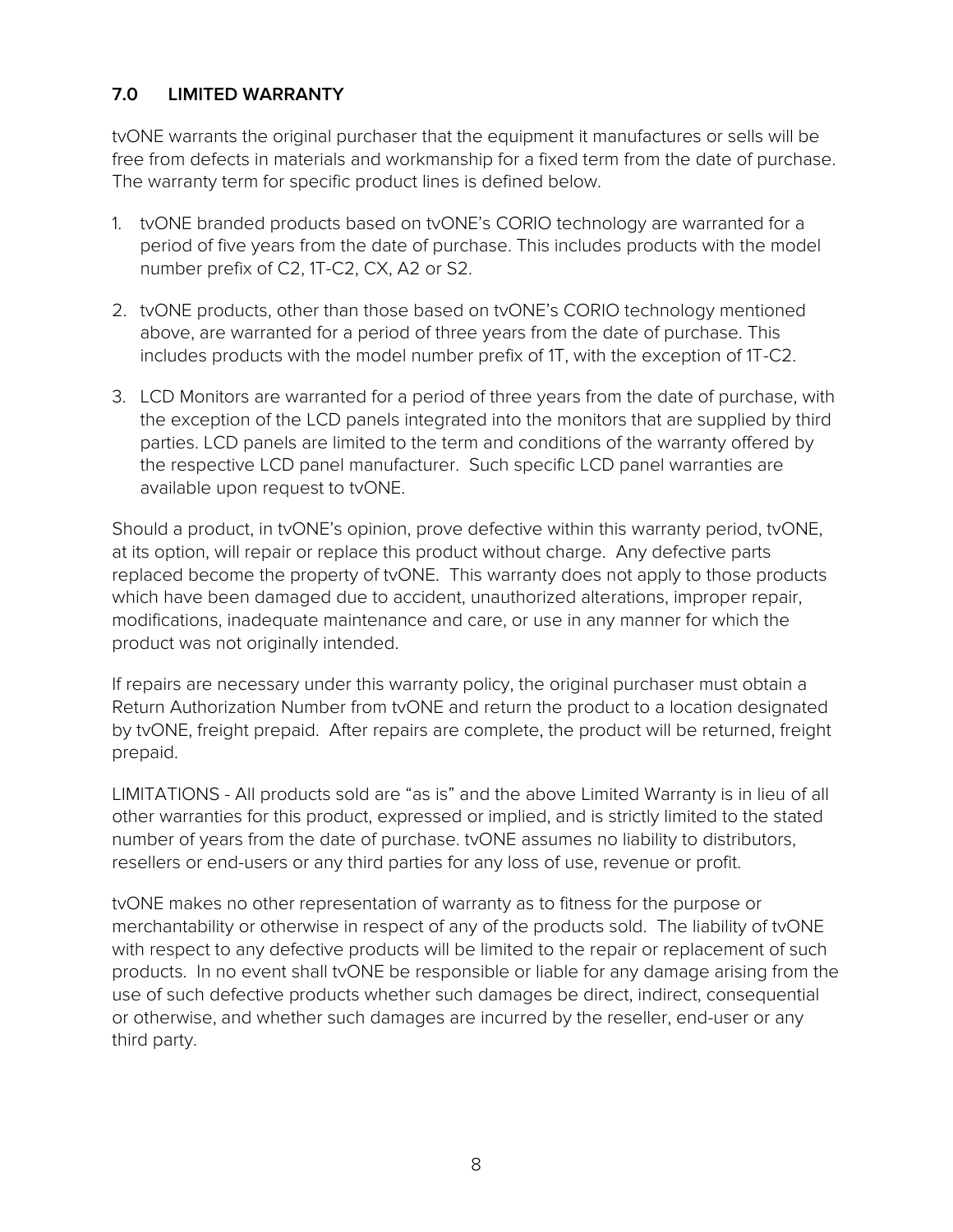## **7.0 LIMITED WARRANTY**

tvONE warrants the original purchaser that the equipment it manufactures or sells will be free from defects in materials and workmanship for a fixed term from the date of purchase. The warranty term for specific product lines is defined below.

- 1. tvONE branded products based on tvONE's CORIO technology are warranted for a period of five years from the date of purchase. This includes products with the model number prefix of C2, 1T-C2, CX, A2 or S2.
- 2. tvONE products, other than those based on tvONE's CORIO technology mentioned above, are warranted for a period of three years from the date of purchase. This includes products with the model number prefix of 1T, with the exception of 1T-C2.
- 3. LCD Monitors are warranted for a period of three years from the date of purchase, with the exception of the LCD panels integrated into the monitors that are supplied by third parties. LCD panels are limited to the term and conditions of the warranty offered by the respective LCD panel manufacturer. Such specific LCD panel warranties are available upon request to tvONE.

Should a product, in tvONE's opinion, prove defective within this warranty period, tvONE, at its option, will repair or replace this product without charge. Any defective parts replaced become the property of tvONE. This warranty does not apply to those products which have been damaged due to accident, unauthorized alterations, improper repair, modifications, inadequate maintenance and care, or use in any manner for which the product was not originally intended.

If repairs are necessary under this warranty policy, the original purchaser must obtain a Return Authorization Number from tvONE and return the product to a location designated by tvONE, freight prepaid. After repairs are complete, the product will be returned, freight prepaid.

LIMITATIONS - All products sold are "as is" and the above Limited Warranty is in lieu of all other warranties for this product, expressed or implied, and is strictly limited to the stated number of years from the date of purchase. tvONE assumes no liability to distributors, resellers or end-users or any third parties for any loss of use, revenue or profit.

tvONE makes no other representation of warranty as to fitness for the purpose or merchantability or otherwise in respect of any of the products sold. The liability of tvONE with respect to any defective products will be limited to the repair or replacement of such products. In no event shall tvONE be responsible or liable for any damage arising from the use of such defective products whether such damages be direct, indirect, consequential or otherwise, and whether such damages are incurred by the reseller, end-user or any third party.